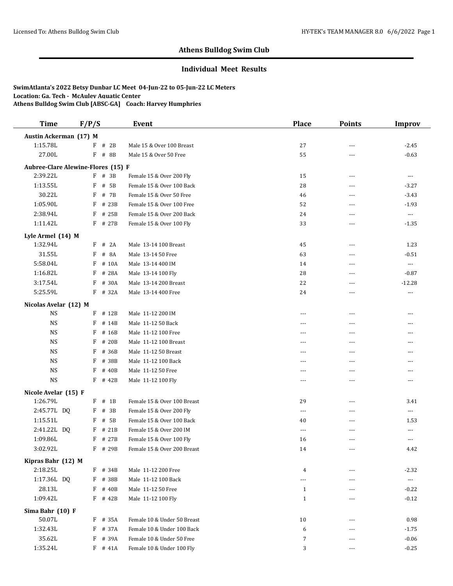### **Individual Meet Results**

| <b>Time</b>                        | F/P/S    | <b>Event</b> |                             | <b>Place</b> | <b>Points</b>  | <b>Improv</b>        |
|------------------------------------|----------|--------------|-----------------------------|--------------|----------------|----------------------|
| Austin Ackerman (17) M             |          |              |                             |              |                |                      |
| 1:15.78L                           | $F$ # 2B |              | Male 15 & Over 100 Breast   | 27           | ---            | $-2.45$              |
| 27.00L                             | F        | # 8B         | Male 15 & Over 50 Free      | 55           | ---            | $-0.63$              |
| Aubree-Clare Alewine-Flores (15) F |          |              |                             |              |                |                      |
| 2:39.22L                           | F # 3B   |              | Female 15 & Over 200 Fly    | 15           | ---            | $\cdots$             |
| 1:13.55L                           | F        | # 5B         | Female 15 & Over 100 Back   | 28           | $- - -$        | $-3.27$              |
| 30.22L                             | F        | # 7B         | Female 15 & Over 50 Free    | 46           | $\overline{a}$ | $-3.43$              |
| 1:05.90L                           | F        | # 23B        | Female 15 & Over 100 Free   | 52           | ---            | $-1.93$              |
| 2:38.94L                           | F        | # 25B        | Female 15 & Over 200 Back   | 24           | ---            | $\scriptstyle\cdots$ |
| 1:11.42L                           |          | F # 27B      | Female 15 & Over 100 Fly    | 33           | ---            | $-1.35$              |
| Lyle Armel (14) M                  |          |              |                             |              |                |                      |
| 1:32.94L                           | F        | # 2A         | Male 13-14 100 Breast       | 45           | $---$          | 1.23                 |
| 31.55L                             | F        | # 8A         | Male 13-14 50 Free          | 63           | $---$          | $-0.51$              |
| 5:58.04L                           | F        | # 10A        | Male 13-14 400 IM           | 14           | ---            | $\scriptstyle\cdots$ |
| 1:16.82L                           | F        | # 28A        | Male 13-14 100 Fly          | 28           | $---$          | $-0.87$              |
| 3:17.54L                           | F        | # 30A        | Male 13-14 200 Breast       | 22           | $---$          | $-12.28$             |
| 5:25.59L                           | F        | # 32A        | Male 13-14 400 Free         | 24           | ---            | $\cdots$             |
| Nicolas Avelar (12) M              |          |              |                             |              |                |                      |
| <b>NS</b>                          |          | F # 12B      | Male 11-12 200 IM           | ---          | ---            | ---                  |
| NS                                 | F        | # 14B        | Male 11-12 50 Back          | $---$        | $---$          | ---                  |
| <b>NS</b>                          | F        | # 16B        | Male 11-12 100 Free         | ---          | $\overline{a}$ | ---                  |
| <b>NS</b>                          | F        | # 20B        | Male 11-12 100 Breast       | $---$        | $- - -$        | $---$                |
| <b>NS</b>                          | F        | # 36B        | Male 11-12 50 Breast        | ---          | ---            | ---                  |
| <b>NS</b>                          | F        | # 38B        | Male 11-12 100 Back         | $---$        | ---            | $---$                |
| <b>NS</b>                          | F        | # 40B        | Male 11-12 50 Free          | $---$        | $- - -$        | ---                  |
| <b>NS</b>                          | F        | # 42B        | Male 11-12 100 Fly          | $\cdots$     | ---            | ---                  |
| Nicole Avelar (15) F               |          |              |                             |              |                |                      |
| 1:26.79L                           | $F$ # 1B |              | Female 15 & Over 100 Breast | 29           | ---            | 3.41                 |
| 2:45.77L DQ                        | F        | # 3B         | Female 15 & Over 200 Fly    | $---$        | $- - -$        | ---                  |
| 1:15.51L                           | F        | # 5B         | Female 15 & Over 100 Back   | 40           | ---            | 1.53                 |
| 2:41.22L DQ                        | F        | # 21B        | Female 15 & Over 200 IM     | $\cdots$     | $---$          | $\cdots$             |
| 1:09.86L                           | F        | # 27B        | Female 15 & Over 100 Fly    | 16           | ---            | ---                  |
| 3:02.92L                           | F        | # 29B        | Female 15 & Over 200 Breast | 14           | ---            | 4.42                 |
| Kipras Bahr (12) M                 |          |              |                             |              |                |                      |
| 2:18.25L                           |          | F # 34B      | Male 11-12 200 Free         | 4            |                | $-2.32$              |
| 1:17.36L DQ                        | F        | # 38B        | Male 11-12 100 Back         | $---$        | $---$          | $\scriptstyle\cdots$ |
| 28.13L                             | F        | # 40B        | Male 11-12 50 Free          | $\mathbf{1}$ |                | $-0.22$              |
| 1:09.42L                           |          | $F$ # 42B    | Male 11-12 100 Fly          | $\mathbf{1}$ | $---$          | $-0.12$              |
| Sima Bahr (10) F                   |          |              |                             |              |                |                      |
| 50.07L                             | F        | # 35A        | Female 10 & Under 50 Breast | 10           | $- - -$        | 0.98                 |
| 1:32.43L                           | F        | # 37A        | Female 10 & Under 100 Back  | 6            |                | $-1.75$              |
| 35.62L                             | F        | # 39A        | Female 10 & Under 50 Free   | 7            | $---$          | $-0.06$              |
| 1:35.24L                           |          | $F$ # 41A    | Female 10 & Under 100 Fly   | 3            | ---            | $-0.25$              |
|                                    |          |              |                             |              |                |                      |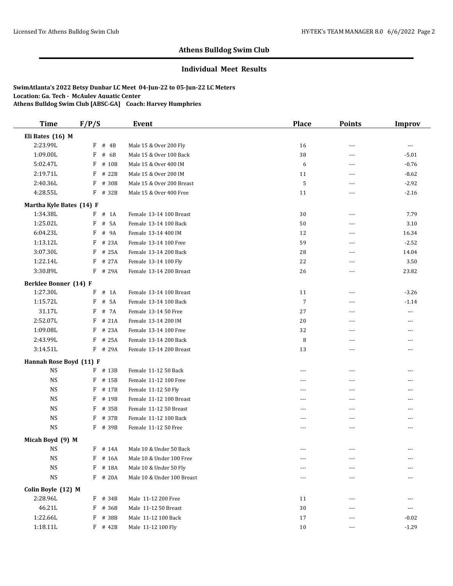#### **Individual Meet Results**

| <b>Time</b>              | F/P/S |           | Event                      | Place          | <b>Points</b>  | <b>Improv</b> |
|--------------------------|-------|-----------|----------------------------|----------------|----------------|---------------|
| Eli Bates (16) M         |       |           |                            |                |                |               |
| 2:23.99L                 | F     | # 4B      | Male 15 & Over 200 Fly     | 16             | ---            | ---           |
| 1:09.00L                 | F     | # 6B      | Male 15 & Over 100 Back    | 38             | ---            | $-5.01$       |
| 5:02.47L                 | F     | # 10B     | Male 15 & Over 400 IM      | 6              | $---$          | $-0.76$       |
| 2:19.71L                 | F     | # 22B     | Male 15 & Over 200 IM      | 11             | $- - -$        | $-8.62$       |
| 2:40.36L                 | F     | # 30B     | Male 15 & Over 200 Breast  | 5              | ---            | $-2.92$       |
| 4:28.55L                 | F     | # 32B     | Male 15 & Over 400 Free    | 11             | ---            | $-2.16$       |
| Martha Kyle Bates (14) F |       |           |                            |                |                |               |
| 1:34.38L                 | F     | $#$ 1A    | Female 13-14 100 Breast    | 30             | $\sim$ $\sim$  | 7.79          |
| 1:25.02L                 | F     | # 5A      | Female 13-14 100 Back      | 50             | $\sim$ $\sim$  | 3.10          |
| 6:04.23L                 | F     | # 9A      | Female 13-14 400 IM        | 12             | $\overline{a}$ | 16.34         |
| 1:13.12L                 | F     | # 23A     | Female 13-14 100 Free      | 59             | $- - -$        | $-2.52$       |
| 3:07.30L                 | F     | # 25A     | Female 13-14 200 Back      | 28             | $\overline{a}$ | 14.04         |
| 1:22.14L                 | F     | # 27A     | Female 13-14 100 Fly       | 22             | $---$          | 3.50          |
| 3:30.89L                 | F     | # 29A     | Female 13-14 200 Breast    | 26             | $---$          | 23.82         |
| Berklee Bonner (14) F    |       |           |                            |                |                |               |
| 1:27.30L                 | F     | $#$ 1A    | Female 13-14 100 Breast    | 11             | $---$          | $-3.26$       |
| 1:15.72L                 | F     | # 5A      | Female 13-14 100 Back      | $\overline{7}$ | ---            | $-1.14$       |
| 31.17L                   | F     | # 7A      | Female 13-14 50 Free       | 27             | ---            | $---$         |
| 2:52.07L                 | F     | # 21A     | Female 13-14 200 IM        | 20             | ---            | ---           |
| 1:09.08L                 | F     | # 23A     | Female 13-14 100 Free      | 32             | $---$          | ---           |
| 2:43.99L                 | F     | # 25A     | Female 13-14 200 Back      | 8              | $\overline{a}$ | ---           |
| 3:14.51L                 |       | F # 29A   | Female 13-14 200 Breast    | 13             | ---            | ---           |
| Hannah Rose Boyd (11) F  |       |           |                            |                |                |               |
| <b>NS</b>                |       | F # 13B   | Female 11-12 50 Back       | ---            | ---            | ---           |
| <b>NS</b>                | F     | # 15B     | Female 11-12 100 Free      | $---$          | $\overline{a}$ | ---           |
| <b>NS</b>                | F     | # 17B     | Female 11-12 50 Fly        | $- - -$        | ---            | ---           |
| <b>NS</b>                | F     | # 19B     | Female 11-12 100 Breast    | $\frac{1}{2}$  | $\sim$ $\sim$  | ---           |
| <b>NS</b>                | F     | # 35B     | Female 11-12 50 Breast     | $- - -$        | $\sim$ $\sim$  | ---           |
| $_{\rm NS}$              | F     | # 37B     | Female 11-12 100 Back      | $- - -$        | $- - -$        | $- - -$       |
| <b>NS</b>                |       | F # 39B   | Female 11-12 50 Free       | $---$          | $---$          | ---           |
| Micah Boyd (9) M         |       |           |                            |                |                |               |
| <b>NS</b>                | F     | # 14A     | Male 10 & Under 50 Back    | $---$          | $\overline{a}$ | $---$         |
| <b>NS</b>                | F     | # 16A     | Male 10 & Under 100 Free   |                |                |               |
| <b>NS</b>                | F     | # 18A     | Male 10 & Under 50 Fly     | ---            |                |               |
| <b>NS</b>                | F     | # 20A     | Male 10 & Under 100 Breast | ---            |                |               |
| Colin Boyle (12) M       |       |           |                            |                |                |               |
| 2:28.96L                 |       | F # 34B   | Male 11-12 200 Free        | 11             | $\overline{a}$ | ---           |
| 46.21L                   | F     | # 36B     | Male 11-12 50 Breast       | $30\,$         | ---            | $\cdots$      |
| 1:22.66L                 | F     | # 38B     | Male 11-12 100 Back        | 17             | ---            | $-0.02$       |
| 1:18.11L                 |       | $F$ # 42B | Male 11-12 100 Fly         | 10             | ---            | $-1.29$       |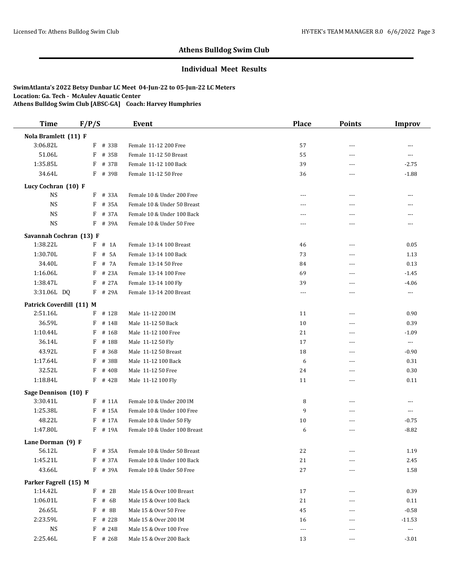### **Individual Meet Results**

| <b>Time</b>                       | F/P/S |           | <b>Event</b>                 | <b>Place</b>         | <b>Points</b>  | <b>Improv</b>                          |
|-----------------------------------|-------|-----------|------------------------------|----------------------|----------------|----------------------------------------|
| Nola Bramlett (11) F              |       |           |                              |                      |                |                                        |
| 3:06.82L                          | F     | # 33B     | Female 11-12 200 Free        | 57                   | ---            | ---                                    |
| 51.06L                            | F     | # 35B     | Female 11-12 50 Breast       | 55                   | ---            | $---$                                  |
| 1:35.85L                          | F     | # 37B     | Female 11-12 100 Back        | 39                   | $- - -$        | $-2.75$                                |
| 34.64L                            |       | F # 39B   | Female 11-12 50 Free         | 36                   | ---            | $-1.88$                                |
| Lucy Cochran (10) F               |       |           |                              |                      |                |                                        |
| <b>NS</b>                         | F     | # 33A     | Female 10 & Under 200 Free   | ---                  | ---            | $\overline{a}$                         |
| <b>NS</b>                         | F     | # 35A     | Female 10 & Under 50 Breast  | ---                  | ---            | ---                                    |
| <b>NS</b>                         |       | F # 37A   | Female 10 & Under 100 Back   | $- - -$              | ---            | ---                                    |
| <b>NS</b>                         |       | F # 39A   | Female 10 & Under 50 Free    | $---$                | ---            | $\cdots$                               |
| Savannah Cochran (13) F           |       |           |                              |                      |                |                                        |
| 1:38.22L                          |       | $F$ # 1A  | Female 13-14 100 Breast      | 46                   | ---            | 0.05                                   |
| 1:30.70L                          | F     | # 5A      | Female 13-14 100 Back        | 73                   | $- - -$        | 1.13                                   |
| 34.40L                            | F     | # 7A      | Female 13-14 50 Free         | 84                   | ---            | 0.13                                   |
| 1:16.06L                          | F     | # 23A     | Female 13-14 100 Free        | 69                   | ---            | $-1.45$                                |
| 1:38.47L                          | F     | # 27A     | Female 13-14 100 Fly         | 39                   | ---            | $-4.06$                                |
| 3:31.06L DQ                       |       | F # 29A   | Female 13-14 200 Breast      | $\cdots$             | ---            | $\scriptstyle\cdots\scriptstyle\cdots$ |
| Patrick Coverdill (11) M          |       |           |                              |                      |                |                                        |
| 2:51.16L                          |       | $F$ # 12B | Male 11-12 200 IM            | 11                   | ---            | 0.90                                   |
| 36.59L                            | F     | # 14B     | Male 11-12 50 Back           | 10                   | $\overline{a}$ | 0.39                                   |
| 1:10.44L                          | F     | # 16B     | Male 11-12 100 Free          | 21                   | ---            | $-1.09$                                |
| 36.14L                            | F     | # 18B     | Male 11-12 50 Fly            | 17                   | $\overline{a}$ | $\cdots$                               |
| 43.92L                            | F     | # 36B     | Male 11-12 50 Breast         | 18                   | ---            | $-0.90$                                |
| 1:17.64L                          | F     | # 38B     | Male 11-12 100 Back          | 6                    | ---            | 0.31                                   |
| 32.52L                            | F     | # 40B     | Male 11-12 50 Free           | 24                   | ---            | 0.30                                   |
| 1:18.84L                          |       | F # 42B   | Male 11-12 100 Fly           | 11                   | ---            | 0.11                                   |
| Sage Dennison (10) F              |       |           |                              |                      |                |                                        |
| 3:30.41L                          |       | $F$ # 11A | Female 10 & Under 200 IM     | 8                    | ---            | $---$                                  |
| 1:25.38L                          | F     | # 15A     | Female 10 & Under 100 Free   | 9                    | $\overline{a}$ | $\cdots$                               |
| 48.22L                            | F     | # 17A     | Female 10 & Under 50 Fly     | 10                   | ---            | $-0.75$                                |
| 1:47.80L                          | F     | # 19A     | Female 10 & Under 100 Breast | 6                    | $- - -$        | $-8.82$                                |
| Lane Dorman (9) F                 |       |           |                              |                      |                |                                        |
| 56.12L                            |       | $F$ # 35A | Female 10 & Under 50 Breast  | 22                   |                | 1.19                                   |
| 1:45.21L                          |       | $F$ # 37A | Female 10 & Under 100 Back   | 21                   | ---            | 2.45                                   |
| 43.66L                            |       | F # 39A   | Female 10 & Under 50 Free    | $27\,$               |                | 1.58                                   |
|                                   |       |           |                              |                      |                |                                        |
| Parker Fagrell (15) M<br>1:14.42L |       | $F$ # 2B  | Male 15 & Over 100 Breast    | 17                   |                | 0.39                                   |
| 1:06.01L                          | F     | # 6B      | Male 15 & Over 100 Back      | 21                   |                | 0.11                                   |
| 26.65L                            | F     | # 8B      | Male 15 & Over 50 Free       | 45                   |                | $-0.58$                                |
| 2:23.59L                          |       | $F$ # 22B | Male 15 & Over 200 IM        | 16                   |                | $-11.53$                               |
| <b>NS</b>                         |       | $F$ # 24B | Male 15 & Over 100 Free      | $\scriptstyle\cdots$ |                | $\cdots$                               |
| 2:25.46L                          |       | $F$ # 26B | Male 15 & Over 200 Back      | 13                   |                | $-3.01$                                |
|                                   |       |           |                              |                      |                |                                        |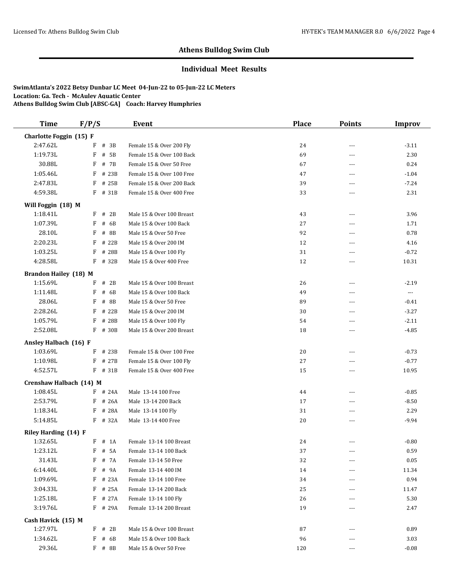#### **Individual Meet Results**

| <b>Time</b>                      | F/P/S                | Event                                           | <b>Place</b> | <b>Points</b>  | <b>Improv</b>        |
|----------------------------------|----------------------|-------------------------------------------------|--------------|----------------|----------------------|
| Charlotte Foggin (15) F          |                      |                                                 |              |                |                      |
| 2:47.62L                         | # 3B<br>F            | Female 15 & Over 200 Fly                        | 24           | ---            | $-3.11$              |
| 1:19.73L                         | F<br># 5B            | Female 15 & Over 100 Back                       | 69           | ---            | 2.30                 |
| 30.88L                           | # 7B<br>F            | Female 15 & Over 50 Free                        | 67           | $\overline{a}$ | 0.24                 |
| 1:05.46L                         | F # 23B              | Female 15 & Over 100 Free                       | 47           | ---            | $-1.04$              |
| 2:47.83L                         | $F$ # 25B            | Female 15 & Over 200 Back                       | 39           | ---            | $-7.24$              |
| 4:59.38L                         | F # 31B              | Female 15 & Over 400 Free                       | 33           | $\overline{a}$ | 2.31                 |
| Will Foggin (18) M               |                      |                                                 |              |                |                      |
| 1:18.41L                         | $F$ # 2B             | Male 15 & Over 100 Breast                       | 43           | ---            | 3.96                 |
| 1:07.39L                         | F<br># 6B            | Male 15 & Over 100 Back                         | 27           | ---            | 1.71                 |
| 28.10L                           | F<br># 8B            | Male 15 & Over 50 Free                          | 92           | ---            | 0.78                 |
| 2:20.23L                         | # 22B<br>F           | Male 15 & Over 200 IM                           | 12           | ---            | 4.16                 |
| 1:03.25L                         | F<br># 28B           | Male 15 & Over 100 Fly                          | 31           | $- - -$        | $-0.72$              |
| 4:28.58L                         | F<br># 32B           | Male 15 & Over 400 Free                         | 12           | ---            | 10.31                |
| <b>Brandon Hailey (18) M</b>     |                      |                                                 |              |                |                      |
| 1:15.69L                         | # 2B<br>F            | Male 15 & Over 100 Breast                       | 26           | ---            | $-2.19$              |
| 1:11.48L                         | F<br># 6B            | Male 15 & Over 100 Back                         | 49           | ---            | $\scriptstyle\cdots$ |
| 28.06L                           | # $8B$<br>F          | Male 15 & Over 50 Free                          | 89           | ---            | $-0.41$              |
| 2:28.26L                         | # 22B<br>F           | Male 15 & Over 200 IM                           | 30           | ---            | $-3.27$              |
| 1:05.79L                         | F<br># 28B           | Male 15 & Over 100 Fly                          | 54           | $- - -$        | $-2.11$              |
| 2:52.08L                         | F # 30B              | Male 15 & Over 200 Breast                       | 18           | ---            | $-4.85$              |
| Ansley Halbach (16) F            |                      |                                                 |              |                |                      |
| 1:03.69L                         | F # 23B              | Female 15 & Over 100 Free                       | 20           | ---            | $-0.73$              |
| 1:10.98L                         | F # 27B              | Female 15 & Over 100 Fly                        | $27\,$       | ---            | $-0.77$              |
| 4:52.57L                         | $F$ # 31B            | Female 15 & Over 400 Free                       | 15           | ---            | 10.95                |
| Crenshaw Halbach (14) M          |                      |                                                 |              |                |                      |
| 1:08.45L                         | F # 24A              | Male 13-14 100 Free                             | 44           | ---            | $-0.85$              |
| 2:53.79L                         | $F$ # 26A            | Male 13-14 200 Back                             | 17           | ---            | $-8.50$              |
| 1:18.34L                         | # 28A<br>F           | Male 13-14 100 Fly                              | 31           | $\overline{a}$ | 2.29                 |
| 5:14.85L                         | $F$ # 32A            | Male 13-14 400 Free                             | 20           | ---            | $-9.94$              |
|                                  |                      |                                                 |              |                |                      |
| Riley Harding (14) F<br>1:32.65L | $F$ # 1A             | Female 13-14 100 Breast                         | 24           | ---            | $-0.80$              |
| 1:23.12L                         | F # 5A               | Female 13-14 100 Back                           | 37           |                | 0.59                 |
| 31.43L                           | F # 7A               | Female 13-14 50 Free                            | 32           |                |                      |
| 6:14.40L                         | F # 9A               | Female 13-14 400 IM                             | 14           | ---            | 0.05<br>11.34        |
|                                  |                      | Female 13-14 100 Free                           | 34           |                |                      |
| 1:09.69L                         | F # 23A              |                                                 |              | ---            | 0.94                 |
| 3:04.33L                         | $F$ # 25A<br>F # 27A | Female 13-14 200 Back                           | 25           |                | 11.47                |
| 1:25.18L                         |                      | Female 13-14 100 Fly<br>Female 13-14 200 Breast | 26<br>19     |                | 5.30                 |
| 3:19.76L                         | F # 29A              |                                                 |              | ---            | 2.47                 |
| Cash Havick (15) M               |                      |                                                 |              |                |                      |
| 1:27.97L                         | $F$ # 2B             | Male 15 & Over 100 Breast                       | 87           |                | 0.89                 |
| 1:34.62L                         | $F$ # 6B             | Male 15 & Over 100 Back                         | 96           |                | 3.03                 |
| 29.36L                           | $F$ # 8B             | Male 15 & Over 50 Free                          | 120          | ---            | $-0.08$              |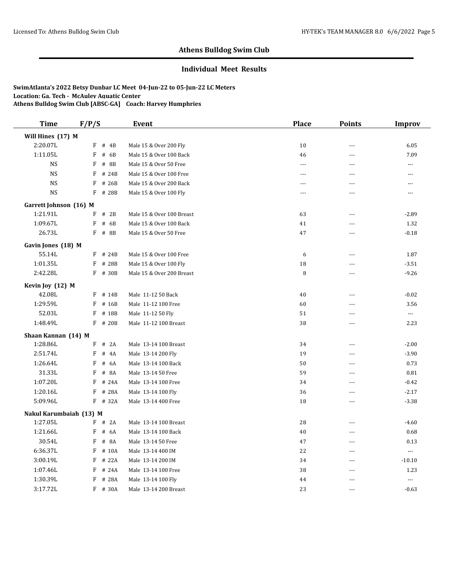#### **Individual Meet Results**

| <b>Time</b>                     | F/P/S        |                | Event                     | <b>Place</b> | <b>Points</b>  | Improv                           |
|---------------------------------|--------------|----------------|---------------------------|--------------|----------------|----------------------------------|
| Will Hines (17) M               |              |                |                           |              |                |                                  |
| 2:20.07L                        | F            | # 4B           | Male 15 & Over 200 Fly    | 10           | $\overline{a}$ | 6.05                             |
| 1:11.05L                        | F            | # 6B           | Male 15 & Over 100 Back   | 46           | ---            | 7.09                             |
| <b>NS</b>                       | F            | # 8B           | Male 15 & Over 50 Free    | $\sim$       | $-$ --         | ---                              |
| <b>NS</b>                       | F            | # 24B          | Male 15 & Over 100 Free   | $\sim$       | $\overline{a}$ | ---                              |
| <b>NS</b>                       | F            | # 26B          | Male 15 & Over 200 Back   | $---$        | $\overline{a}$ | ---                              |
| <b>NS</b>                       | F            | # 28B          | Male 15 & Over 100 Fly    | $---$        | $\overline{a}$ | $---$                            |
| Garrett Johnson (16) M          |              |                |                           |              |                |                                  |
| 1:21.91L                        | F            | # 2B           | Male 15 & Over 100 Breast | 63           | $-$            | $-2.89$                          |
| 1:09.67L                        | F            | # 6B           | Male 15 & Over 100 Back   | 41           | $-$            | 1.32                             |
| 26.73L                          |              | F # 8B         | Male 15 & Over 50 Free    | 47           | $\overline{a}$ | $-0.18$                          |
| Gavin Jones (18) M              |              |                |                           |              |                |                                  |
| 55.14L                          | F            | # 24B          | Male 15 & Over 100 Free   | 6            | $\overline{a}$ | 1.87                             |
| 1:01.35L                        | F            | # 28B          | Male 15 & Over 100 Fly    | 18           | $\overline{a}$ | $-3.51$                          |
| 2:42.28L                        |              | F # 30B        | Male 15 & Over 200 Breast | 8            | $ -$           | $-9.26$                          |
|                                 |              |                |                           |              |                |                                  |
| Kevin Joy (12) M<br>42.08L      | F            | # 14B          | Male 11-12 50 Back        | 40           | $\overline{a}$ | $-0.02$                          |
| 1:29.59L                        | F            | # 16B          | Male 11-12 100 Free       | 60           | ---            | 3.56                             |
| 52.03L                          | F            | # 18B          | Male 11-12 50 Fly         | 51           | $\overline{a}$ | $\overline{\phantom{a}}$         |
| 1:48.49L                        |              | F # 20B        | Male 11-12 100 Breast     | 38           | $\overline{a}$ | 2.23                             |
|                                 |              |                |                           |              |                |                                  |
| Shaan Kannan (14) M<br>1:28.86L | F            | # 2A           | Male 13-14 100 Breast     | 34           | $-$            | $-2.00$                          |
| 2:51.74L                        | F            | # 4A           | Male 13-14 200 Fly        | 19           | ---            | $-3.90$                          |
| 1:26.64L                        | F            | # 6A           | Male 13-14 100 Back       | 50           | $\overline{a}$ | 0.73                             |
| 31.33L                          | F            | # 8A           | Male 13-14 50 Free        | 59           | $-$            | $\rm 0.81$                       |
| 1:07.20L                        | F            | # 24A          | Male 13-14 100 Free       | 34           | $\overline{a}$ | $-0.42$                          |
| 1:20.16L                        | F            | # 28A          | Male 13-14 100 Fly        | 36           | $\overline{a}$ | $-2.17$                          |
| 5:09.96L                        |              | $F$ # 32A      | Male 13-14 400 Free       | 18           | ---            | $-3.38$                          |
|                                 |              |                |                           |              |                |                                  |
| Nakul Karumbaiah (13) M         |              |                |                           |              |                |                                  |
| 1:27.05L                        | $\mathbf{F}$ | $F$ # 2A       | Male 13-14 100 Breast     | 28           | ---            | $-4.60$                          |
| 1:21.66L                        |              | # 6A           | Male 13-14 100 Back       | 40           | $-$            | 0.68                             |
| 30.54L<br>6:36.37L              | F<br>F       | # 8A           | Male 13-14 50 Free        | 47           | $-$            | 0.13                             |
| 3:00.19L                        | F            | # 10A<br># 22A | Male 13-14 400 IM         | 22<br>34     | $\overline{a}$ | ---                              |
| 1:07.46L                        | F            | # 24A          | Male 13-14 200 IM         | 38           | ---            | $-10.10$                         |
|                                 |              |                | Male 13-14 100 Free       |              | ---            | 1.23<br>$\overline{\phantom{a}}$ |
| 1:30.39L                        | F            | # 28A          | Male 13-14 100 Fly        | 44           | $- - -$        |                                  |
| 3:17.72L                        |              | F # 30A        | Male 13-14 200 Breast     | 23           | $-$            | $-0.63$                          |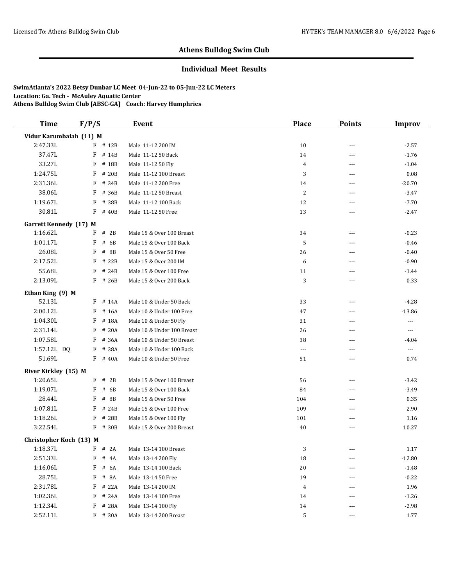#### **Individual Meet Results**

| <b>Time</b>                   | F/P/S |         | <b>Event</b>               | <b>Place</b> | <b>Points</b>  | <b>Improv</b>            |
|-------------------------------|-------|---------|----------------------------|--------------|----------------|--------------------------|
| Vidur Karumbaiah (11) M       |       |         |                            |              |                |                          |
| 2:47.33L                      |       | F # 12B | Male 11-12 200 IM          | 10           | $\overline{a}$ | $-2.57$                  |
| 37.47L                        | F     | # 14B   | Male 11-12 50 Back         | 14           | ---            | $-1.76$                  |
| 33.27L                        | F     | # 18B   | Male 11-12 50 Fly          | 4            | $- - -$        | $-1.04$                  |
| 1:24.75L                      | F     | # 20B   | Male 11-12 100 Breast      | 3            | ---            | 0.08                     |
| 2:31.36L                      | F     | # 34B   | Male 11-12 200 Free        | 14           | $---$          | $-20.70$                 |
| 38.06L                        | F     | # 36B   | Male 11-12 50 Breast       | 2            | $---$          | $-3.47$                  |
| 1:19.67L                      | F     | # 38B   | Male 11-12 100 Back        | 12           | ---            | $-7.70$                  |
| 30.81L                        | F     | # 40B   | Male 11-12 50 Free         | 13           | ---            | $-2.47$                  |
| <b>Garrett Kennedy (17) M</b> |       |         |                            |              |                |                          |
| 1:16.62L                      | F     | # 2B    | Male 15 & Over 100 Breast  | 34           | $\overline{a}$ | $-0.23$                  |
| 1:01.17L                      | F     | # 6B    | Male 15 & Over 100 Back    | 5            | ---            | $-0.46$                  |
| 26.08L                        | F     | # 8B    | Male 15 & Over 50 Free     | 26           | $\overline{a}$ | $-0.40$                  |
| 2:17.52L                      | F     | # 22B   | Male 15 & Over 200 IM      | 6            | ---            | $-0.90$                  |
| 55.68L                        | F     | # 24B   | Male 15 & Over 100 Free    | 11           | $- - -$        | $-1.44$                  |
| 2:13.09L                      | F     | # 26B   | Male 15 & Over 200 Back    | 3            | $\overline{a}$ | 0.33                     |
| Ethan King (9) M              |       |         |                            |              |                |                          |
| 52.13L                        | F     | # 14A   | Male 10 & Under 50 Back    | 33           | ---            | $-4.28$                  |
| 2:00.12L                      | F     | # 16A   | Male 10 & Under 100 Free   | 47           | $- - -$        | $-13.86$                 |
| 1:04.30L                      | F     | # 18A   | Male 10 & Under 50 Fly     | 31           | $- - -$        | $---$                    |
| 2:31.14L                      | F     | # 20A   | Male 10 & Under 100 Breast | 26           | ---            | $\overline{\phantom{a}}$ |
| 1:07.58L                      | F     | # 36A   | Male 10 & Under 50 Breast  | 38           | $---$          | $-4.04$                  |
| 1:57.12L DQ                   | F     | # 38A   | Male 10 & Under 100 Back   | $---$        | ---            | $\cdots$                 |
| 51.69L                        |       | F # 40A | Male 10 & Under 50 Free    | 51           | ---            | 0.74                     |
| River Kirkley (15) M          |       |         |                            |              |                |                          |
| 1:20.65L                      | F     | # 2B    | Male 15 & Over 100 Breast  | 56           | ---            | $-3.42$                  |
| 1:19.07L                      | F     | # 6B    | Male 15 & Over 100 Back    | 84           | ---            | $-3.49$                  |
| 28.44L                        | F     | # 8B    | Male 15 & Over 50 Free     | 104          | ---            | 0.35                     |
| 1:07.81L                      | F     | # 24B   | Male 15 & Over 100 Free    | 109          | $- - -$        | 2.90                     |
| 1:18.26L                      | F     | # 28B   | Male 15 & Over 100 Fly     | 101          | $---$          | 1.16                     |
| 3:22.54L                      | F     | # 30B   | Male 15 & Over 200 Breast  | 40           | ---            | 10.27                    |
| Christopher Koch (13) M       |       |         |                            |              |                |                          |
| 1:18.37L                      |       | F # 2A  | Male 13-14 100 Breast      | 3            | $- - -$        | 1.17                     |
| 2:51.33L                      | F     | # $4A$  | Male 13-14 200 Fly         | 18           |                | $-12.80$                 |
| 1:16.06L                      | F     | # 6A    | Male 13-14 100 Back        | 20           |                | $-1.48$                  |
| 28.75L                        |       | F # 8A  | Male 13-14 50 Free         | 19           |                | $-0.22$                  |
| 2:31.78L                      | F     | # 22A   | Male 13-14 200 IM          | 4            |                | 1.96                     |
| 1:02.36L                      | F     | # 24A   | Male 13-14 100 Free        | 14           | ---            | $-1.26$                  |
| 1:12.34L                      | F     | # 28A   | Male 13-14 100 Fly         | 14           | ---            | $-2.98$                  |
| 2:52.11L                      |       | F # 30A | Male 13-14 200 Breast      | 5            | ---            | 1.77                     |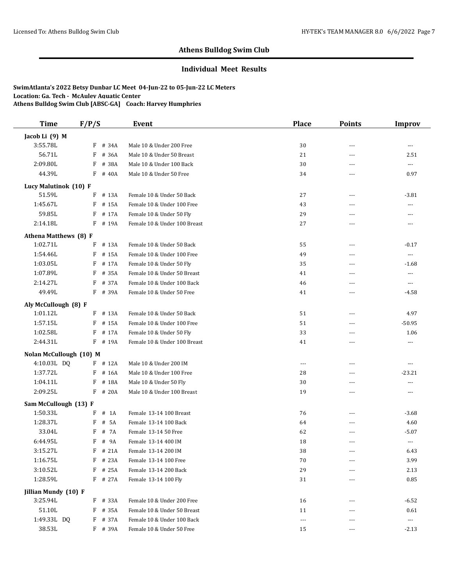#### **Individual Meet Results**

| <b>Time</b>             | F/P/S       | Event                        | <b>Place</b>         | <b>Points</b>  | <b>Improv</b>            |
|-------------------------|-------------|------------------------------|----------------------|----------------|--------------------------|
| Jacob Li (9) M          |             |                              |                      |                |                          |
| 3:55.78L                | $F$ # 34A   | Male 10 & Under 200 Free     | 30                   | $---$          | ---                      |
| 56.71L                  | F<br># 36A  | Male 10 & Under 50 Breast    | 21                   | $\sim$ $\sim$  | 2.51                     |
| 2:09.80L                | F<br># 38A  | Male 10 & Under 100 Back     | 30                   | $\sim$ $\sim$  | $\ldots$                 |
| 44.39L                  | F<br># 40A  | Male 10 & Under 50 Free      | 34                   | $\sim$ $\sim$  | 0.97                     |
| Lucy Malutinok (10) F   |             |                              |                      |                |                          |
| 51.59L                  | # 13A<br>F  | Female 10 & Under 50 Back    | 27                   | $- - -$        | $-3.81$                  |
| 1:45.67L                | # 15A<br>F  | Female 10 & Under 100 Free   | 43                   | $\sim$ $\sim$  | $\overline{a}$           |
| 59.85L                  | F<br># 17A  | Female 10 & Under 50 Fly     | 29                   | ---            | ---                      |
| 2:14.18L                | F # 19A     | Female 10 & Under 100 Breast | 27                   | $- - -$        | $---$                    |
| Athena Matthews (8) F   |             |                              |                      |                |                          |
| 1:02.71L                | F<br># 13A  | Female 10 & Under 50 Back    | 55                   | $---$          | $-0.17$                  |
| 1:54.46L                | F<br># 15A  | Female 10 & Under 100 Free   | 49                   | $\overline{a}$ | ---                      |
| 1:03.05L                | F<br># 17A  | Female 10 & Under 50 Fly     | 35                   | $\overline{a}$ | $-1.68$                  |
| 1:07.89L                | F<br># 35A  | Female 10 & Under 50 Breast  | 41                   | ---            | $---$                    |
| 2:14.27L                | F<br># 37A  | Female 10 & Under 100 Back   | 46                   | ---            | $\overline{\phantom{a}}$ |
| 49.49L                  | F<br># 39A  | Female 10 & Under 50 Free    | 41                   | $\sim$ $\sim$  | -4.58                    |
| Aly McCullough (8) F    |             |                              |                      |                |                          |
| 1:01.12L                | F # 13A     | Female 10 & Under 50 Back    | 51                   | $\sim$ $\sim$  | 4.97                     |
| 1:57.15L                | F<br># 15A  | Female 10 & Under 100 Free   | 51                   | $\sim$ $\sim$  | $-50.95$                 |
| 1:02.58L                | F<br># 17A  | Female 10 & Under 50 Fly     | 33                   | $\overline{a}$ | 1.06                     |
| 2:44.31L                | F<br># 19A  | Female 10 & Under 100 Breast | 41                   | $---$          | ---                      |
| Nolan McCullough (10) M |             |                              |                      |                |                          |
| 4:10.03L DQ             | $F$ # 12A   | Male 10 & Under 200 IM       | $\cdots$             | $- - -$        | $\overline{a}$           |
| 1:37.72L                | F<br># 16A  | Male 10 & Under 100 Free     | 28                   | ---            | $-23.21$                 |
| 1:04.11L                | # 18A<br>F  | Male 10 & Under 50 Fly       | 30                   | $- - -$        | $\overline{a}$           |
| 2:09.25L                | F<br># 20A  | Male 10 & Under 100 Breast   | 19                   | ---            | ---                      |
| Sam McCullough (13) F   |             |                              |                      |                |                          |
| 1:50.33L                | $#$ 1A<br>F | Female 13-14 100 Breast      | 76                   | $---$          | $-3.68$                  |
| 1:28.37L                | # 5A<br>F   | Female 13-14 100 Back        | 64                   | ---            | 4.60                     |
| 33.04L                  | # 7A<br>F   | Female 13-14 50 Free         | 62                   | ---            | $-5.07$                  |
| 6:44.95L                | F<br># 9A   | Female 13-14 400 IM          | 18                   | $---$          | $\cdots$                 |
| 3:15.27L                | $F$ # 21A   | Female 13-14 200 IM          | 38                   |                | 6.43                     |
| 1:16.75L                | $F$ # 23A   | Female 13-14 100 Free        | 70                   | $---$          | 3.99                     |
| 3:10.52L                | $F$ # 25A   | Female 13-14 200 Back        | 29                   |                | 2.13                     |
| 1:28.59L                | F # 27A     | Female 13-14 100 Fly         | 31                   | ---            | 0.85                     |
| Jillian Mundy (10) F    |             |                              |                      |                |                          |
| 3:25.94L                | F # 33A     | Female 10 & Under 200 Free   | 16                   | ---            | $-6.52$                  |
| 51.10L                  | F # 35A     | Female 10 & Under 50 Breast  | 11                   |                | 0.61                     |
| 1:49.33L DQ             | # 37A<br>F  | Female 10 & Under 100 Back   | $\scriptstyle\cdots$ | ---            | $\scriptstyle \cdots$    |
| 38.53L                  | F # 39A     | Female 10 & Under 50 Free    | 15                   | $\cdots$       | $-2.13$                  |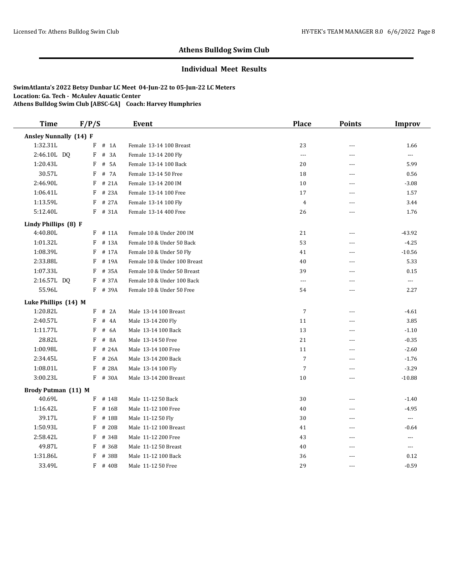### **Individual Meet Results**

| <b>Time</b>                   | F/P/S |           | Event                        | <b>Place</b>   | <b>Points</b>  | <b>Improv</b>            |
|-------------------------------|-------|-----------|------------------------------|----------------|----------------|--------------------------|
| <b>Ansley Nunnally (14) F</b> |       |           |                              |                |                |                          |
| 1:32.31L                      | F     | $#$ 1A    | Female 13-14 100 Breast      | 23             | ---            | 1.66                     |
| 2:46.10L DQ                   | F     | # 3A      | Female 13-14 200 Fly         | $\cdots$       | ---            | ---                      |
| 1:20.43L                      | F     | # 5A      | Female 13-14 100 Back        | 20             | $\overline{a}$ | 5.99                     |
| 30.57L                        | F     | # 7A      | Female 13-14 50 Free         | 18             | $\overline{a}$ | 0.56                     |
| 2:46.90L                      | F     | # 21A     | Female 13-14 200 IM          | 10             | $\overline{a}$ | $-3.08$                  |
| 1:06.41L                      | F     | # 23A     | Female 13-14 100 Free        | 17             | $- - -$        | 1.57                     |
| 1:13.59L                      |       | F # 27A   | Female 13-14 100 Fly         | $\overline{4}$ | $---$          | 3.44                     |
| 5:12.40L                      |       | F # 31A   | Female 13-14 400 Free        | 26             | $\sim$ $\sim$  | 1.76                     |
| Lindy Phillips (8) F          |       |           |                              |                |                |                          |
| 4:40.80L                      | F     | # 11A     | Female 10 & Under 200 IM     | 21             | $\sim$ $\sim$  | $-43.92$                 |
| 1:01.32L                      | F     | # 13A     | Female 10 & Under 50 Back    | 53             | $---$          | $-4.25$                  |
| 1:08.39L                      | F     | # 17A     | Female 10 & Under 50 Fly     | 41             | $---$          | $-10.56$                 |
| 2:33.88L                      | F     | # 19A     | Female 10 & Under 100 Breast | 40             | $\overline{a}$ | 5.33                     |
| 1:07.33L                      | F     | # 35A     | Female 10 & Under 50 Breast  | 39             | $\sim$ $\sim$  | 0.15                     |
| 2:16.57L DQ                   | F     | # 37A     | Female 10 & Under 100 Back   | $\overline{a}$ | $\sim$ $\sim$  | $\cdots$                 |
| 55.96L                        |       | F # 39A   | Female 10 & Under 50 Free    | 54             | $\sim$ $\sim$  | 2.27                     |
| Luke Phillips (14) M          |       |           |                              |                |                |                          |
| 1:20.82L                      |       | $F$ # 2A  | Male 13-14 100 Breast        | $\overline{7}$ | $---$          | $-4.61$                  |
| 2:40.57L                      | F     | # 4A      | Male 13-14 200 Fly           | 11             | $---$          | 3.85                     |
| 1:11.77L                      | F     | # 6A      | Male 13-14 100 Back          | 13             | $\overline{a}$ | $-1.10$                  |
| 28.82L                        | F     | # 8A      | Male 13-14 50 Free           | 21             | $---$          | $-0.35$                  |
| 1:00.98L                      | F     | # 24A     | Male 13-14 100 Free          | 11             | $- - -$        | $-2.60$                  |
| 2:34.45L                      | F     | # 26A     | Male 13-14 200 Back          | $\sqrt{ }$     | $- - -$        | $-1.76$                  |
| 1:08.01L                      | F     | # 28A     | Male 13-14 100 Fly           | $\sqrt{ }$     | ---            | $-3.29$                  |
| 3:00.23L                      |       | F # 30A   | Male 13-14 200 Breast        | 10             | ---            | $-10.88$                 |
| Brody Putman (11) M           |       |           |                              |                |                |                          |
| 40.69L                        |       | $F$ # 14B | Male 11-12 50 Back           | 30             | $---$          | $-1.40$                  |
| 1:16.42L                      | F     | # 16B     | Male 11-12 100 Free          | 40             | $---$          | $-4.95$                  |
| 39.17L                        | F     | # 18B     | Male 11-12 50 Fly            | 30             | $---$          | $\cdots$                 |
| 1:50.93L                      | F     | # 20B     | Male 11-12 100 Breast        | 41             | $- - -$        | $-0.64$                  |
| 2:58.42L                      | F     | # 34B     | Male 11-12 200 Free          | 43             | $---$          | $\overline{\phantom{a}}$ |
| 49.87L                        | F     | # 36B     | Male 11-12 50 Breast         | 40             | ---            | $\cdots$                 |
| 1:31.86L                      | F     | # 38B     | Male 11-12 100 Back          | 36             | ---            | 0.12                     |
| 33.49L                        |       | $F$ # 40B | Male 11-12 50 Free           | 29             | $\overline{a}$ | $-0.59$                  |
|                               |       |           |                              |                |                |                          |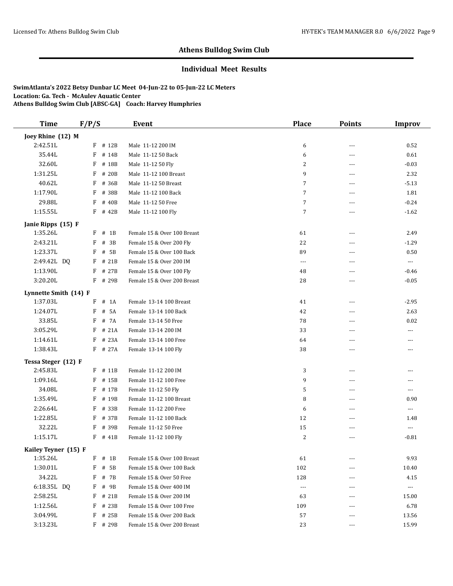#### **Individual Meet Results**

| <b>Time</b>                     | F/P/S |           | Event                       | <b>Place</b>         | <b>Points</b>  | <b>Improv</b>        |
|---------------------------------|-------|-----------|-----------------------------|----------------------|----------------|----------------------|
| Joey Rhine (12) M               |       |           |                             |                      |                |                      |
| 2:42.51L                        |       | $F$ # 12B | Male 11-12 200 IM           | 6                    | $\overline{a}$ | 0.52                 |
| 35.44L                          | F     | # 14B     | Male 11-12 50 Back          | 6                    | ---            | 0.61                 |
| 32.60L                          | F     | # 18B     | Male 11-12 50 Flv           | 2                    | $-$            | $-0.03$              |
| 1:31.25L                        | F     | # 20B     | Male 11-12 100 Breast       | 9                    | $- - -$        | 2.32                 |
| 40.62L                          | F     | # 36B     | Male 11-12 50 Breast        | 7                    | $\sim$ $\sim$  | $-5.13$              |
| 1:17.90L                        | F     | # 38B     | Male 11-12 100 Back         | 7                    | $---$          | 1.81                 |
| 29.88L                          | F     | # 40B     | Male 11-12 50 Free          | 7                    | $- - -$        | $-0.24$              |
| 1:15.55L                        |       | $F$ # 42B | Male 11-12 100 Fly          | 7                    | $---$          | $-1.62$              |
| Janie Ripps (15) F              |       |           |                             |                      |                |                      |
| 1:35.26L                        | F     | $#$ 1B    | Female 15 & Over 100 Breast | 61                   | $---$          | 2.49                 |
| 2:43.21L                        | F     | # 3B      | Female 15 & Over 200 Fly    | 22                   | $---$          | $-1.29$              |
| 1:23.37L                        | F     | # 5B      | Female 15 & Over 100 Back   | 89                   | $-$            | 0.50                 |
| 2:49.42L DQ                     | F     | # 21B     | Female 15 & Over 200 IM     | $\cdots$             | ---            | ---                  |
| 1:13.90L                        | F     | # 27B     | Female 15 & Over 100 Fly    | 48                   | $---$          | $-0.46$              |
| 3:20.20L                        | F     | # 29B     | Female 15 & Over 200 Breast | 28                   | $---$          | $-0.05$              |
| Lynnette Smith (14) F           |       |           |                             |                      |                |                      |
| 1:37.03L                        | F     | # 1A      | Female 13-14 100 Breast     | 41                   | ---            | $-2.95$              |
| 1:24.07L                        | F     | # 5A      | Female 13-14 100 Back       | 42                   | $- - -$        | 2.63                 |
| 33.85L                          | F     | # 7A      | Female 13-14 50 Free        | 78                   | ---            | 0.02                 |
| 3:05.29L                        | F     | # 21A     | Female 13-14 200 IM         | 33                   | ---            | ---                  |
| 1:14.61L                        | F     | # 23A     | Female 13-14 100 Free       | 64                   | ---            | ---                  |
| 1:38.43L                        |       | F # 27A   | Female 13-14 100 Fly        | 38                   | ---            | ---                  |
|                                 |       |           |                             |                      |                |                      |
| Tessa Steger (12) F<br>2:45.83L |       | $F$ # 11B | Female 11-12 200 IM         |                      |                |                      |
| 1:09.16L                        | F     | # 15B     | Female 11-12 100 Free       | 3<br>9               | $\overline{a}$ | ---                  |
| 34.08L                          |       |           |                             |                      | $\cdots$       | ---                  |
|                                 | F     | # 17B     | Female 11-12 50 Fly         | 5                    | ---            | ---                  |
| 1:35.49L                        | F     | # 19B     | Female 11-12 100 Breast     | 8                    | $---$          | 0.90                 |
| 2:26.64L                        | F     | # 33B     | Female 11-12 200 Free       | 6                    | ---            | ---                  |
| 1:22.85L                        | F     | # 37B     | Female 11-12 100 Back       | 12                   | $---$          | 1.48                 |
| 32.22L                          | F     | # 39B     | Female 11-12 50 Free        | 15                   | $---$          | $\cdots$             |
| 1:15.17L                        |       | $F$ # 41B | Female 11-12 100 Fly        | 2                    | ---            | $-0.81$              |
| Kailey Teyner (15) F            |       |           |                             |                      |                |                      |
| 1:35.26L                        | F     | $#$ 1B    | Female 15 & Over 100 Breast | 61                   |                | 9.93                 |
| 1:30.01L                        | F     | # 5B      | Female 15 & Over 100 Back   | 102                  |                | 10.40                |
| 34.22L                          | F     | # 7B      | Female 15 & Over 50 Free    | 128                  | ---            | 4.15                 |
| 6:18.35L DQ                     | F     | # 9B      | Female 15 & Over 400 IM     | $\scriptstyle\cdots$ |                | $\scriptstyle\cdots$ |
| 2:58.25L                        | F     | # 21B     | Female 15 & Over 200 IM     | 63                   | ---            | 15.00                |
| 1:12.56L                        | F     | # 23B     | Female 15 & Over 100 Free   | 109                  | ---            | 6.78                 |
| 3:04.99L                        | F     | # 25B     | Female 15 & Over 200 Back   | 57                   | $---$          | 13.56                |
| 3:13.23L                        |       | F # 29B   | Female 15 & Over 200 Breast | 23                   | $\cdots$       | 15.99                |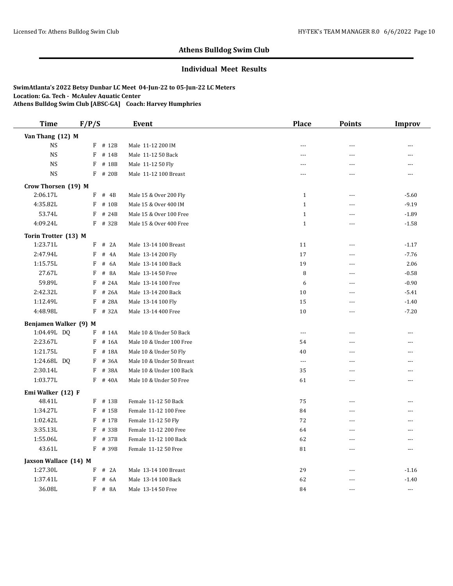#### **Individual Meet Results**

| <b>Time</b>           | F/P/S |            | <b>Event</b>              | <b>Place</b>             | <b>Points</b>  | Improv         |
|-----------------------|-------|------------|---------------------------|--------------------------|----------------|----------------|
| Van Thang (12) M      |       |            |                           |                          |                |                |
| $_{\rm NS}$           | F     | # 12B      | Male 11-12 200 IM         | $- - -$                  | $\overline{a}$ | ---            |
| <b>NS</b>             | F     | # 14B      | Male 11-12 50 Back        | $- - -$                  | $-$            | ---            |
| <b>NS</b>             | F     | # 18B      | Male 11-12 50 Fly         | $\overline{a}$           | ---            | ---            |
| $_{\rm NS}$           |       | F # 20B    | Male 11-12 100 Breast     | $---$                    | $\overline{a}$ | ---            |
| Crow Thorsen (19) M   |       |            |                           |                          |                |                |
| 2:06.17L              | F     | # 4B       | Male 15 & Over 200 Fly    | $\mathbf{1}$             | $\sim$         | $-5.60$        |
| 4:35.82L              | F     | # 10B      | Male 15 & Over 400 IM     | $\mathbf{1}$             | $\sim$         | $-9.19$        |
| 53.74L                | F     | # 24B      | Male 15 & Over 100 Free   | $\mathbf{1}$             | ---            | $-1.89$        |
| 4:09.24L              |       | F # 32B    | Male 15 & Over 400 Free   | $\mathbf{1}$             | $\overline{a}$ | $-1.58$        |
| Torin Trotter (13) M  |       |            |                           |                          |                |                |
| 1:23.71L              | F     | # 2A       | Male 13-14 100 Breast     | 11                       | $\sim$         | $-1.17$        |
| 2:47.94L              | F     | # 4A       | Male 13-14 200 Fly        | 17                       | $-$            | $-7.76$        |
| 1:15.75L              | F     | # 6A       | Male 13-14 100 Back       | 19                       | ---            | 2.06           |
| 27.67L                | F     | # 8A       | Male 13-14 50 Free        | 8                        | $\overline{a}$ | $-0.58$        |
| 59.89L                | F     | # 24A      | Male 13-14 100 Free       | 6                        | $-$            | $-0.90$        |
| 2:42.32L              | F     | # 26A      | Male 13-14 200 Back       | 10                       | ---            | $-5.41$        |
| 1:12.49L              | F     | # 28A      | Male 13-14 100 Fly        | 15                       | $---$          | $-1.40$        |
| 4:48.98L              | F     | # 32A      | Male 13-14 400 Free       | 10                       | ---            | $-7.20$        |
| Benjamen Walker (9) M |       |            |                           |                          |                |                |
| 1:04.49L DQ           |       | F # 14A    | Male 10 & Under 50 Back   | $\overline{\phantom{a}}$ | ---            | $\overline{a}$ |
| 2:23.67L              | F     | # 16A      | Male 10 & Under 100 Free  | 54                       | $\overline{a}$ | $---$          |
| 1:21.75L              | F     | # 18A      | Male 10 & Under 50 Fly    | 40                       | ---            | $\overline{a}$ |
| 1:24.68L DO           | F     | # 36A      | Male 10 & Under 50 Breast | $\overline{a}$           | $\sim$ $\sim$  | ---            |
| 2:30.14L              | F     | # 38A      | Male 10 & Under 100 Back  | 35                       | $---$          | $\overline{a}$ |
| 1:03.77L              | F     | # 40A      | Male 10 & Under 50 Free   | 61                       | $\sim$ $\sim$  | ---            |
| Emi Walker (12) F     |       |            |                           |                          |                |                |
| 48.41L                |       | F # 13B    | Female 11-12 50 Back      | 75                       | $\overline{a}$ | $\overline{a}$ |
| 1:34.27L              | F     | # 15B      | Female 11-12 100 Free     | 84                       | $\overline{a}$ | ---            |
| 1:02.42L              | F     | # 17B      | Female 11-12 50 Fly       | 72                       | $\sim$         | $\overline{a}$ |
| 3:35.13L              | F     | # 33B      | Female 11-12 200 Free     | 64                       | $\sim$         | $\overline{a}$ |
| 1:55.06L              | F     | # 37B      | Female 11-12 100 Back     | 62                       | ---            | ---            |
| 43.61L                |       | F # 39B    | Female 11-12 50 Free      | 81                       | $\sim$         | $\overline{a}$ |
| Jaxson Wallace (14) M |       |            |                           |                          |                |                |
| 1:27.30L              | F     | # 2A       | Male 13-14 100 Breast     | 29                       | $\overline{a}$ | $-1.16$        |
| 1:37.41L              | F     | $\#$<br>6A | Male 13-14 100 Back       | 62                       | ---            | $-1.40$        |
| 36.08L                |       | F # 8A     | Male 13-14 50 Free        | 84                       | $---$          | $---$          |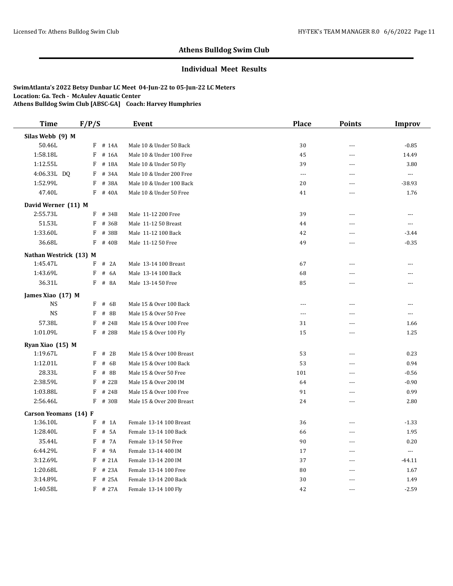#### **Individual Meet Results**

| <b>Time</b>            | F/P/S |           | <b>Event</b>              | <b>Place</b>   | <b>Points</b>  | <b>Improv</b>            |
|------------------------|-------|-----------|---------------------------|----------------|----------------|--------------------------|
| Silas Webb (9) M       |       |           |                           |                |                |                          |
| 50.46L                 | F     | # 14A     | Male 10 & Under 50 Back   | 30             | $-$            | $-0.85$                  |
| 1:58.18L               | F     | # 16A     | Male 10 & Under 100 Free  | 45             | ---            | 14.49                    |
| 1:12.55L               | F     | # 18A     | Male 10 & Under 50 Fly    | 39             | $\overline{a}$ | 3.80                     |
| 4:06.33L DQ            | F     | # 34A     | Male 10 & Under 200 Free  | $\overline{a}$ | $\overline{a}$ | $\overline{\phantom{a}}$ |
| 1:52.99L               | F     | # 38A     | Male 10 & Under 100 Back  | 20             | ---            | $-38.93$                 |
| 47.40L                 |       | $F$ # 40A | Male 10 & Under 50 Free   | 41             | $---$          | 1.76                     |
| David Werner (11) M    |       |           |                           |                |                |                          |
| 2:55.73L               | F     | # 34B     | Male 11-12 200 Free       | 39             | $-$            | $\sim$                   |
| 51.53L                 | F     | # 36B     | Male 11-12 50 Breast      | 44             | ---            | $\scriptstyle\cdots$     |
| 1:33.60L               | F     | # 38B     | Male 11-12 100 Back       | 42             | $\cdots$       | $-3.44$                  |
| 36.68L                 | F     | # 40B     | Male 11-12 50 Free        | 49             | $-$            | $-0.35$                  |
| Nathan Westrick (13) M |       |           |                           |                |                |                          |
| 1:45.47L               | F     | # 2A      | Male 13-14 100 Breast     | 67             | ---            | ---                      |
| 1:43.69L               | F     | # 6A      | Male 13-14 100 Back       | 68             | ---            | ---                      |
| 36.31L                 |       | F # 8A    | Male 13-14 50 Free        | 85             | $---$          | $\cdots$                 |
| James Xiao (17) M      |       |           |                           |                |                |                          |
| <b>NS</b>              | F     | # 6B      | Male 15 & Over 100 Back   | $---$          | $-$            | $\overline{a}$           |
| <b>NS</b>              | F     | # 8B      | Male 15 & Over 50 Free    | $---$          | ---            | ---                      |
| 57.38L                 | F     | # 24B     | Male 15 & Over 100 Free   | 31             | ---            | 1.66                     |
| 1:01.09L               |       | F # 28B   | Male 15 & Over 100 Fly    | 15             | ---            | 1.25                     |
| Ryan Xiao (15) M       |       |           |                           |                |                |                          |
| 1:19.67L               | F     | # 2B      | Male 15 & Over 100 Breast | 53             | $-$            | 0.23                     |
| 1:12.01L               | F     | # 6B      | Male 15 & Over 100 Back   | 53             | ---            | 0.94                     |
| 28.33L                 | F     | # 8B      | Male 15 & Over 50 Free    | 101            | $---$          | $-0.56$                  |
| 2:38.59L               | F     | # 22B     | Male 15 & Over 200 IM     | 64             | ---            | $-0.90$                  |
| 1:03.88L               | F     | # 24B     | Male 15 & Over 100 Free   | 91             | $\overline{a}$ | 0.99                     |
| 2:56.46L               | F     | # 30B     | Male 15 & Over 200 Breast | 24             | $\overline{a}$ | 2.80                     |
| Carson Yeomans (14) F  |       |           |                           |                |                |                          |
| 1:36.10L               |       | $F$ # 1A  | Female 13-14 100 Breast   | 36             | $- - -$        | $-1.33$                  |
| 1:28.40L               | F     | # 5A      | Female 13-14 100 Back     | 66             | ---            | 1.95                     |
| 35.44L                 | F     | # 7A      | Female 13-14 50 Free      | 90             | $\sim$         | 0.20                     |
| 6:44.29L               | F     | # 9A      | Female 13-14 400 IM       | 17             | ---            | $\ldots$                 |
| 3:12.69L               | F     | # 21A     | Female 13-14 200 IM       | 37             | $---$          | $-44.11$                 |
| 1:20.68L               | F     | # 23A     | Female 13-14 100 Free     | 80             | $-$            | 1.67                     |
| 3:14.89L               | F     | # 25A     | Female 13-14 200 Back     | 30             | ---            | 1.49                     |
| 1:40.58L               |       | $F$ # 27A | Female 13-14 100 Fly      | 42             | $- - -$        | $-2.59$                  |